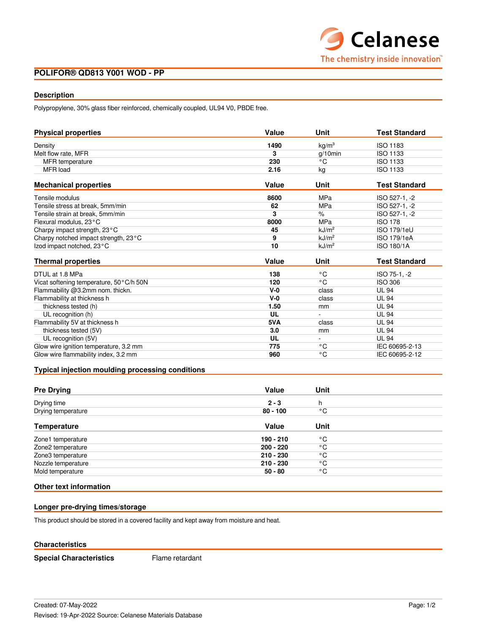# **POLIFOR® QD813 Y001 WOD - PP**

## **Description**

Polypropylene, 30% glass fiber reinforced, chemically coupled, UL94 V0, PBDE free.

| <b>Physical properties</b>              | Value | Unit              | <b>Test Standard</b> |  |
|-----------------------------------------|-------|-------------------|----------------------|--|
| Density                                 | 1490  | kg/m <sup>3</sup> | ISO 1183             |  |
| Melt flow rate, MFR                     | 3     | $q/10$ min        | <b>ISO 1133</b>      |  |
| <b>MFR</b> temperature                  | 230   | °€                | <b>ISO 1133</b>      |  |
| MFR load                                | 2.16  | kg                | <b>ISO 1133</b>      |  |
| <b>Mechanical properties</b>            | Value | Unit              | <b>Test Standard</b> |  |
| Tensile modulus                         | 8600  | <b>MPa</b>        | ISO 527-1, -2        |  |
| Tensile stress at break, 5mm/min        | 62    | MPa               | ISO 527-1, -2        |  |
| Tensile strain at break. 5mm/min        | 3     | $\%$              | ISO 527-1, -2        |  |
| Flexural modulus, 23°C                  | 8000  | MPa               | <b>ISO 178</b>       |  |
| Charpy impact strength, 23°C            | 45    | kJ/m <sup>2</sup> | <b>ISO 179/1eU</b>   |  |
| Charpy notched impact strength, 23°C    | 9     | kJ/m <sup>2</sup> | <b>ISO 179/1eA</b>   |  |
| Izod impact notched, 23°C               | 10    | kJ/m <sup>2</sup> | <b>ISO 180/1A</b>    |  |
| <b>Thermal properties</b>               | Value | Unit              | <b>Test Standard</b> |  |
| DTUL at 1.8 MPa                         | 138   | °€                | ISO 75-1, -2         |  |
| Vicat softening temperature, 50°C/h 50N | 120   | °€                | ISO 306              |  |
| Flammability @3.2mm nom. thickn.        | $V-0$ | class             | <b>UL 94</b>         |  |
| Flammability at thickness h             | $V-0$ | class             | <b>UL 94</b>         |  |
| thickness tested (h)                    | 1.50  | mm                | <b>UL 94</b>         |  |
| UL recognition (h)                      | UL    |                   | <b>UL 94</b>         |  |
| Flammability 5V at thickness h          | 5VA   | class             | <b>UL 94</b>         |  |
| thickness tested (5V)                   | 3.0   | mm                | <b>UL 94</b>         |  |
| UL recognition (5V)                     | UL    | $\blacksquare$    | <b>UL 94</b>         |  |
| Glow wire ignition temperature, 3.2 mm  | 775   | °C                | IEC 60695-2-13       |  |
| Glow wire flammability index, 3.2 mm    | 960   | °€                | IEC 60695-2-12       |  |

## **Typical injection moulding processing conditions**

| <b>Pre Drying</b>  | Value       | Unit |  |
|--------------------|-------------|------|--|
| Drying time        | $2 - 3$     | h    |  |
| Drying temperature | $80 - 100$  | °C   |  |
| <b>Temperature</b> | Value       | Unit |  |
| Zone1 temperature  | 190 - 210   | ۰c   |  |
| Zone2 temperature  | $200 - 220$ | ۰c   |  |
| Zone3 temperature  | 210 - 230   | °C   |  |
| Nozzle temperature | $210 - 230$ | °C   |  |
| Mold temperature   | $50 - 80$   | °C   |  |

# **Other text information**

### **Longer pre-drying times/storage**

This product should be stored in a covered facility and kept away from moisture and heat.

### **Characteristics**

**Special Characteristics** Flame retardant